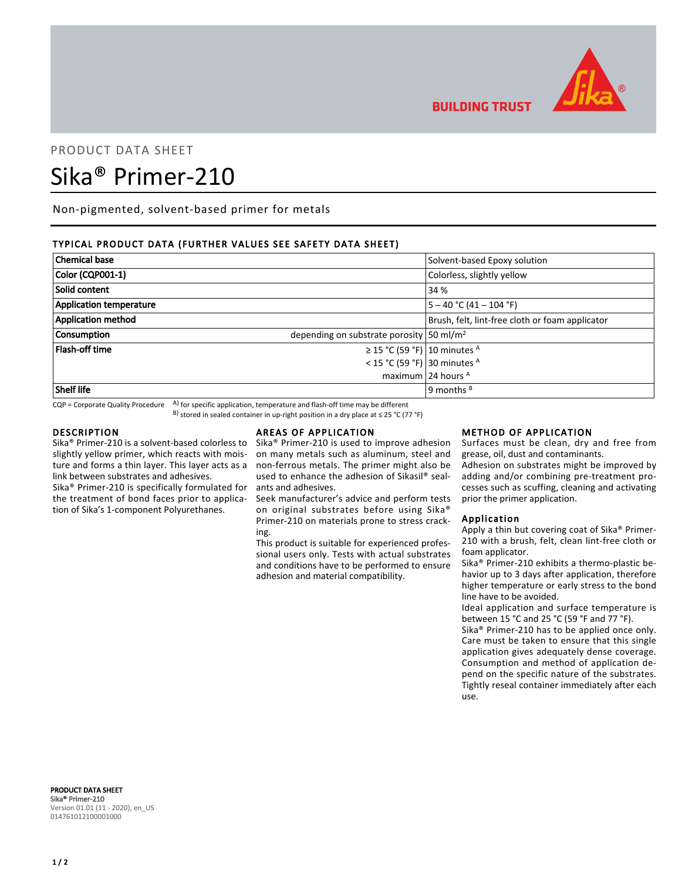

**BUILDING TRUST** 

# PRODUCT DATA SHEET

# Sika® Primer-210

Non-pigmented, solvent-based primer for metals

# TYPICAL PRODUCT DATA (FURTHER VALUES SEE SAFETY DATA SHEET)

| <b>Chemical base</b>           |                                                      | Solvent-based Epoxy solution                    |
|--------------------------------|------------------------------------------------------|-------------------------------------------------|
| Color (CQP001-1)               |                                                      | Colorless, slightly yellow                      |
| Solid content                  |                                                      | 34 %                                            |
| <b>Application temperature</b> |                                                      | $5 - 40$ °C (41 – 104 °F)                       |
| <b>Application method</b>      |                                                      | Brush, felt, lint-free cloth or foam applicator |
| Consumption                    | depending on substrate porosity 50 ml/m <sup>2</sup> |                                                 |
| Flash-off time                 | $\geq$ 15 °C (59 °F) 10 minutes <sup>A</sup>         |                                                 |
|                                | < 15 °C (59 °F) 30 minutes $^{\text{A}}$             |                                                 |
|                                |                                                      | maximum 24 hours $A$                            |
| <b>Shelf life</b>              |                                                      | 9 months <sup>B</sup>                           |

 $CQP$  = Corporate Quality Procedure  $A$ ) for specific application, temperature and flash-off time may be different

B) stored in sealed container in up-right position in a dry place at ≤ 25 °C (77 °F)

#### DESCRIPTION

Sika® Primer-210 is a solvent-based colorless to slightly yellow primer, which reacts with moisture and forms a thin layer. This layer acts as a link between substrates and adhesives.

Sika® Primer-210 is specifically formulated for the treatment of bond faces prior to application of Sika's 1-component Polyurethanes.

# AREAS OF APPLICATION

Sika® Primer-210 is used to improve adhesion on many metals such as aluminum, steel and non-ferrous metals. The primer might also be used to enhance the adhesion of Sikasil® sealants and adhesives.

Seek manufacturer's advice and perform tests on original substrates before using Sika® Primer-210 on materials prone to stress cracking.

This product is suitable for experienced professional users only. Tests with actual substrates and conditions have to be performed to ensure adhesion and material compatibility.

#### METHOD OF APPLICATION

Surfaces must be clean, dry and free from grease, oil, dust and contaminants.

Adhesion on substrates might be improved by adding and/or combining pre-treatment processes such as scuffing, cleaning and activating prior the primer application.

## Application

Apply a thin but covering coat of Sika® Primer-210 with a brush, felt, clean lint-free cloth or foam applicator.

Sika® Primer-210 exhibits a thermo-plastic behavior up to 3 days after application, therefore higher temperature or early stress to the bond line have to be avoided.

Ideal application and surface temperature is between 15 °C and 25 °C (59 °F and 77 °F).

Sika® Primer-210 has to be applied once only. Care must be taken to ensure that this single application gives adequately dense coverage. Consumption and method of application depend on the specific nature of the substrates. Tightly reseal container immediately after each use.

PRODUCT DATA SHEET Sika® Primer-210 Version 01.01 (11 - 2020), en\_US 014761012100001000